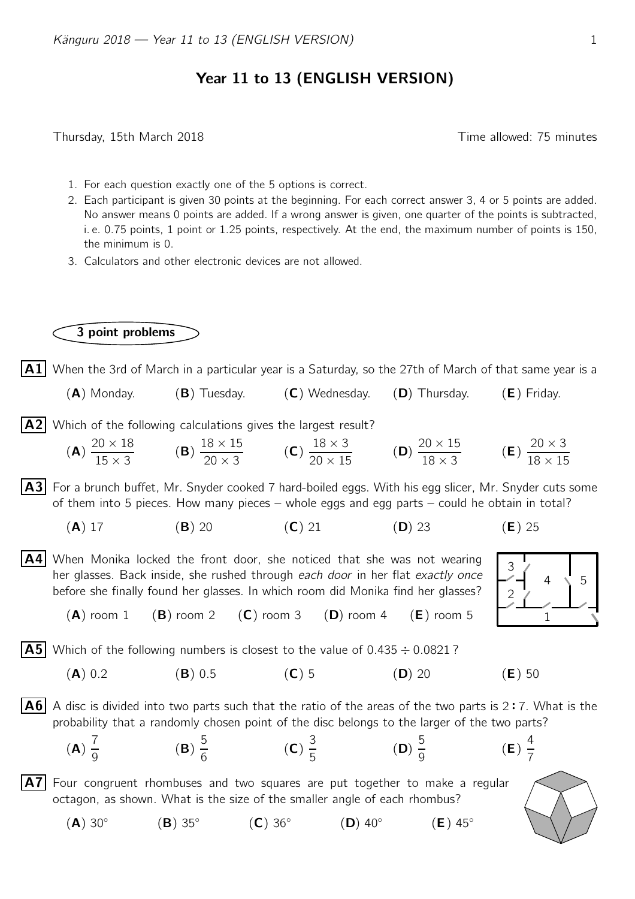## Year 11 to 13 (ENGLISH VERSION)

Thursday, 15th March 2018 Time allowed: 75 minutes

- 1. For each question exactly one of the 5 options is correct.
- 2. Each participant is given 30 points at the beginning. For each correct answer 3, 4 or 5 points are added. No answer means 0 points are added. If a wrong answer is given, one quarter of the points is subtracted, i. e. 0.75 points, 1 point or 1.25 points, respectively. At the end, the maximum number of points is 150, the minimum is 0.
- 3. Calculators and other electronic devices are not allowed.

## 3 point problems

 $|\mathbf{A1}|$  When the 3rd of March in a particular year is a Saturday, so the 27th of March of that same year is a

 $(A)$  Monday. (B) Tuesday. (C) Wednesday. (D) Thursday. (E) Friday.

 $|A2|$  Which of the following calculations gives the largest result?

(**A**) 
$$
\frac{20 \times 18}{15 \times 3}
$$
 (**B**)  $\frac{18 \times 15}{20 \times 3}$  (**C**)  $\frac{18 \times 3}{20 \times 15}$  (**D**)  $\frac{20 \times 15}{18 \times 3}$  (**E**)  $\frac{20 \times 3}{18 \times 15}$ 

 $|A3|$  For a brunch buffet, Mr. Snyder cooked 7 hard-boiled eggs. With his egg slicer, Mr. Snyder cuts some of them into 5 pieces. How many pieces – whole eggs and egg parts – could he obtain in total?

- (A) 17 (B) 20 (C) 21 (D) 23 (E) 25
- $|AA|$  When Monika locked the front door, she noticed that she was not wearing her glasses. Back inside, she rushed through each door in her flat exactly once before she finally found her glasses. In which room did Monika find her glasses?
	- $(A)$  room 1  $(B)$  room 2  $(C)$  room 3  $(D)$  room 4  $(E)$  room 5

 $|{\bf A5}|$  Which of the following numbers is closest to the value of 0.435  $\div$  0.0821 ?

(A) 0.2 (B) 0.5 (C) 5 (D) 20 (E) 50

 $\overline{AB}$  A disc is divided into two parts such that the ratio of the areas of the two parts is 2:7. What is the probability that a randomly chosen point of the disc belongs to the larger of the two parts? probability that a randomly chosen point of the disc belongs to the larger of the two parts?



 $|A7|$  Four congruent rhombuses and two squares are put together to make a regular octagon, as shown. What is the size of the smaller angle of each rhombus?

 $(A)$  30 $^\circ$  $(B)$  35 $^{\circ}$  $(C)$  36 $\circ$  $(D)$  40 $\circ$  $(E)$  45°



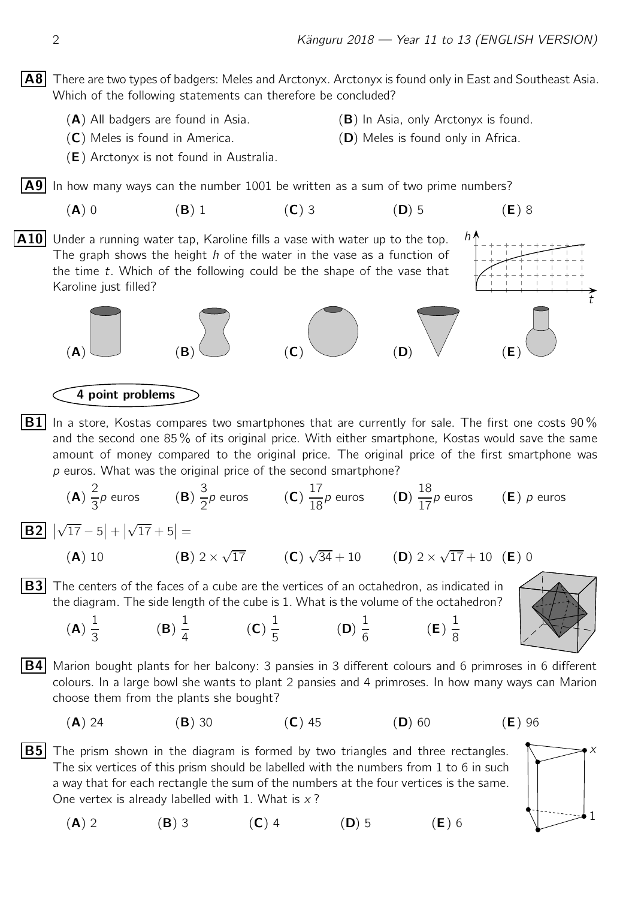$|AB|$  There are two types of badgers: Meles and Arctonyx. Arctonyx is found only in East and Southeast Asia. Which of the following statements can therefore be concluded?

- 
- (A) All badgers are found in Asia. (B) In Asia, only Arctonyx is found.

h

- (C) Meles is found in America. (D) Meles is found only in Africa.
- (E) Arctonyx is not found in Australia.

 $\mathsf{A9}$  In how many ways can the number 1001 be written as a sum of two prime numbers?

(A) 0 (B) 1 (C) 3 (D) 5 (E) 8

 $(A)$   $(B)$   $(C)$   $(D)$   $V$   $(E)$ 

 $|A10|$  Under a running water tap, Karoline fills a vase with water up to the top. The graph shows the height  $h$  of the water in the vase as a function of the time  $t$ . Which of the following could be the shape of the vase that Karoline just filled?



 $p$  euros. What was the original price of the second smartphone?

(B) 1 4

(**A**) 
$$
\frac{2}{3}p
$$
 euros (**B**)  $\frac{3}{2}p$  euros (**C**)  $\frac{17}{18}p$  euros (**D**)  $\frac{18}{17}p$  euros (**E**) p euros

 $\boxed{B2}$  |  $\sqrt{17} - 5$ | + |  $\sqrt{17} + 5$ | =

> (A) 1 3

(**A**) 10 (**B**) 
$$
2 \times \sqrt{17}
$$
 (**C**)  $\sqrt{34} + 10$  (**D**)  $2 \times \sqrt{17} + 10$  (**E**) 0

 $|B3|$  The centers of the faces of a cube are the vertices of an octahedron, as indicated in the diagram. The side length of the cube is 1. What is the volume of the octahedron?

> (C) 1 5



t

**B4** Marion bought plants for her balcony: 3 pansies in 3 different colours and 6 primroses in 6 different colours. In a large bowl she wants to plant 2 pansies and 4 primroses. In how many ways can Marion choose them from the plants she bought?

(D) 1 6 (E) 1 8

(A) 24 (B) 30 (C) 45 (D) 60 (E) 96

**B5** The prism shown in the diagram is formed by two triangles and three rectangles.  $\bigwedge \longrightarrow x$ The six vertices of this prism should be labelled with the numbers from 1 to 6 in such a way that for each rectangle the sum of the numbers at the four vertices is the same. One vertex is already labelled with 1. What is  $x$ ?

(A) 2 (B) 3 (C) 4 (D) 5 (E) 6

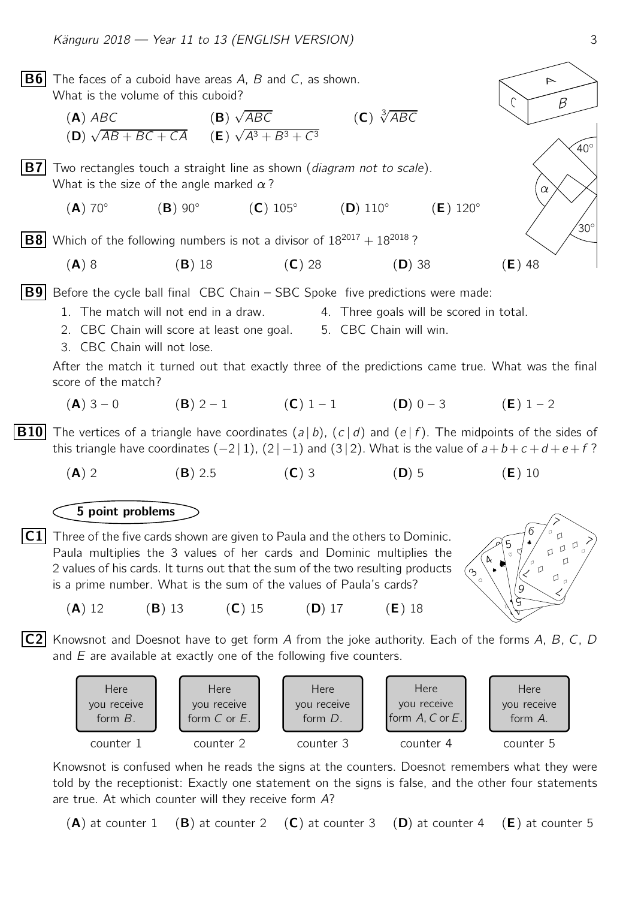

 $(A)$  at counter 1  $(B)$  at counter 2  $(C)$  at counter 3  $(D)$  at counter 4  $(E)$  at counter 5